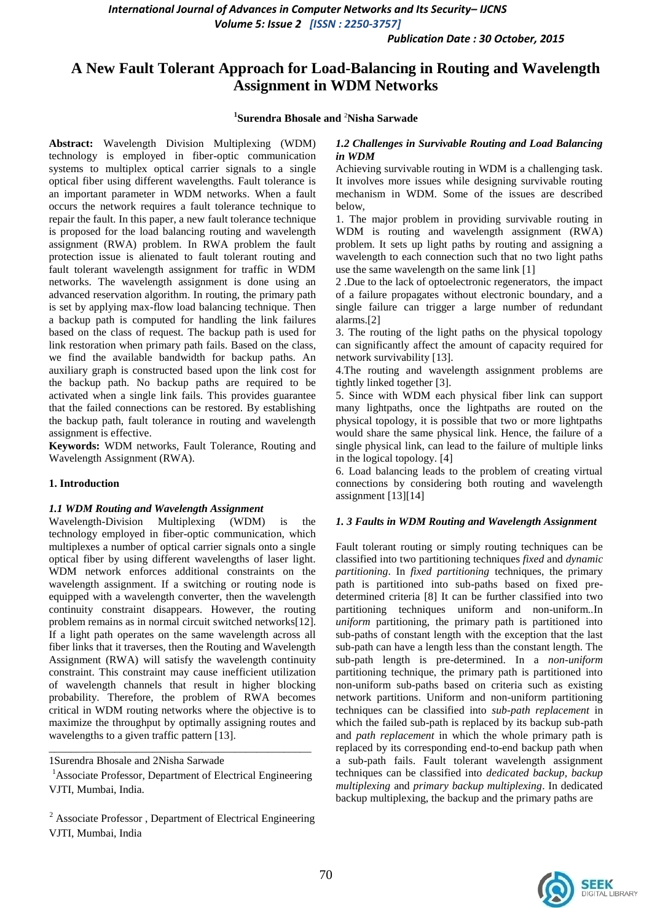*Publication Date : 30 October, 2015*

# **A New Fault Tolerant Approach for Load-Balancing in Routing and Wavelength Assignment in WDM Networks**

### **1 Surendra Bhosale and** <sup>2</sup>**Nisha Sarwade**

**Abstract:** Wavelength Division Multiplexing (WDM) technology is employed in fiber-optic communication systems to multiplex optical carrier signals to a single optical fiber using different wavelengths. Fault tolerance is an important parameter in WDM networks. When a fault occurs the network requires a fault tolerance technique to repair the fault. In this paper, a new fault tolerance technique is proposed for the load balancing routing and wavelength assignment (RWA) problem. In RWA problem the fault protection issue is alienated to fault tolerant routing and fault tolerant wavelength assignment for traffic in WDM networks. The wavelength assignment is done using an advanced reservation algorithm. In routing, the primary path is set by applying max-flow load balancing technique. Then a backup path is computed for handling the link failures based on the class of request. The backup path is used for link restoration when primary path fails. Based on the class, we find the available bandwidth for backup paths. An auxiliary graph is constructed based upon the link cost for the backup path. No backup paths are required to be activated when a single link fails. This provides guarantee that the failed connections can be restored. By establishing the backup path, fault tolerance in routing and wavelength assignment is effective.

**Keywords:** WDM networks, Fault Tolerance, Routing and Wavelength Assignment (RWA).

#### **1. Introduction**

#### *1.1 WDM Routing and Wavelength Assignment*

Wavelength-Division Multiplexing (WDM) is the technology employed in fiber-optic communication, which multiplexes a number of optical carrier signals onto a single optical fiber by using different wavelengths of laser light. WDM network enforces additional constraints on the wavelength assignment. If a switching or routing node is equipped with a wavelength converter, then the wavelength continuity constraint disappears. However, the routing problem remains as in normal circuit switched networks[12]. If a light path operates on the same wavelength across all fiber links that it traverses, then the Routing and Wavelength Assignment (RWA) will satisfy the wavelength continuity constraint. This constraint may cause inefficient utilization of wavelength channels that result in higher blocking probability. Therefore, the problem of RWA becomes critical in WDM routing networks where the objective is to maximize the throughput by optimally assigning routes and wavelengths to a given traffic pattern [13].

1Surendra Bhosale and 2Nisha Sarwade

<sup>1</sup>Associate Professor, Department of Electrical Engineering VJTI, Mumbai, India.

\_\_\_\_\_\_\_\_\_\_\_\_\_\_\_\_\_\_\_\_\_\_\_\_\_\_\_\_\_\_\_\_\_\_\_\_\_\_\_\_\_\_\_\_\_\_\_\_

#### *1.2 Challenges in Survivable Routing and Load Balancing in WDM*

Achieving survivable routing in WDM is a challenging task. It involves more issues while designing survivable routing mechanism in WDM. Some of the issues are described below,

1. The major problem in providing survivable routing in WDM is routing and wavelength assignment (RWA) problem. It sets up light paths by routing and assigning a wavelength to each connection such that no two light paths use the same wavelength on the same link [1]

2 .Due to the lack of optoelectronic regenerators, the impact of a failure propagates without electronic boundary, and a single failure can trigger a large number of redundant alarms.[2]

3. The routing of the light paths on the physical topology can significantly affect the amount of capacity required for network survivability [13].

4.The routing and wavelength assignment problems are tightly linked together [3].

5. Since with WDM each physical fiber link can support many lightpaths, once the lightpaths are routed on the physical topology, it is possible that two or more lightpaths would share the same physical link. Hence, the failure of a single physical link, can lead to the failure of multiple links in the logical topology. [4]

6. Load balancing leads to the problem of creating virtual connections by considering both routing and wavelength assignment [13][14]

#### *1. 3 Faults in WDM Routing and Wavelength Assignment*

Fault tolerant routing or simply routing techniques can be classified into two partitioning techniques *fixed* and *dynamic partitioning*. In *fixed partitioning* techniques, the primary path is partitioned into sub-paths based on fixed predetermined criteria [8] It can be further classified into two partitioning techniques uniform and non-uniform*..*In *uniform* partitioning, the primary path is partitioned into sub-paths of constant length with the exception that the last sub-path can have a length less than the constant length. The sub-path length is pre-determined. In a *non-uniform*  partitioning technique, the primary path is partitioned into non-uniform sub-paths based on criteria such as existing network partitions. Uniform and non-uniform partitioning techniques can be classified into *sub-path replacement* in which the failed sub-path is replaced by its backup sub-path and *path replacement* in which the whole primary path is replaced by its corresponding end-to-end backup path when a sub-path fails. Fault tolerant wavelength assignment techniques can be classified into *dedicated backup, backup multiplexing* and *primary backup multiplexing*. In dedicated backup multiplexing, the backup and the primary paths are



<sup>&</sup>lt;sup>2</sup> Associate Professor, Department of Electrical Engineering VJTI, Mumbai, India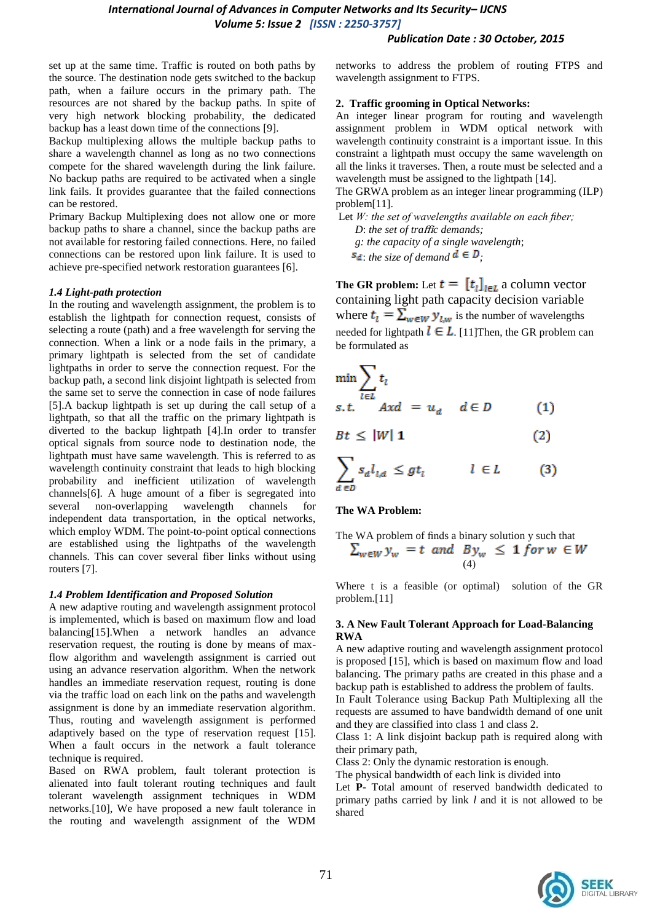#### *Publication Date : 30 October, 2015*

set up at the same time. Traffic is routed on both paths by the source. The destination node gets switched to the backup path, when a failure occurs in the primary path. The resources are not shared by the backup paths. In spite of very high network blocking probability, the dedicated backup has a least down time of the connections [9].

Backup multiplexing allows the multiple backup paths to share a wavelength channel as long as no two connections compete for the shared wavelength during the link failure. No backup paths are required to be activated when a single link fails. It provides guarantee that the failed connections can be restored.

Primary Backup Multiplexing does not allow one or more backup paths to share a channel, since the backup paths are not available for restoring failed connections. Here, no failed connections can be restored upon link failure. It is used to achieve pre-specified network restoration guarantees [6].

#### *1.4 Light-path protection*

In the routing and wavelength assignment, the problem is to establish the lightpath for connection request, consists of selecting a route (path) and a free wavelength for serving the connection. When a link or a node fails in the primary, a primary lightpath is selected from the set of candidate lightpaths in order to serve the connection request. For the backup path, a second link disjoint lightpath is selected from the same set to serve the connection in case of node failures [5].A backup lightpath is set up during the call setup of a lightpath, so that all the traffic on the primary lightpath is diverted to the backup lightpath [4].In order to transfer optical signals from source node to destination node, the lightpath must have same wavelength. This is referred to as wavelength continuity constraint that leads to high blocking probability and inefficient utilization of wavelength channels[6]. A huge amount of a fiber is segregated into several non-overlapping wavelength channels for independent data transportation, in the optical networks, which employ WDM. The point-to-point optical connections are established using the lightpaths of the wavelength channels. This can cover several fiber links without using routers [7].

#### *1.4 Problem Identification and Proposed Solution*

A new adaptive routing and wavelength assignment protocol is implemented, which is based on maximum flow and load balancing[15].When a network handles an advance reservation request, the routing is done by means of maxflow algorithm and wavelength assignment is carried out using an advance reservation algorithm. When the network handles an immediate reservation request, routing is done via the traffic load on each link on the paths and wavelength assignment is done by an immediate reservation algorithm. Thus, routing and wavelength assignment is performed adaptively based on the type of reservation request [15]. When a fault occurs in the network a fault tolerance technique is required.

Based on RWA problem, fault tolerant protection is alienated into fault tolerant routing techniques and fault tolerant wavelength assignment techniques in WDM networks.[10], We have proposed a new fault tolerance in the routing and wavelength assignment of the WDM

networks to address the problem of routing FTPS and wavelength assignment to FTPS.

#### **2. Traffic grooming in Optical Networks:**

An integer linear program for routing and wavelength assignment problem in WDM optical network with wavelength continuity constraint is a important issue. In this constraint a lightpath must occupy the same wavelength on all the links it traverses. Then, a route must be selected and a wavelength must be assigned to the lightpath [14].

The GRWA problem as an integer linear programming (ILP) problem[11].

Let *W: the set of wavelengths available on each fiber; D*: *the set of tra*ffi*c demands;* 

 *g: the capacity of a single wavelength*;

 $s_d$ : *the size of demand*  $d \in D$ .

**The GR problem:** Let  $t = [t_i]_{i \in L}$  a column vector containing light path capacity decision variable where  $t_i = \sum_{w \in W} y_{i,w}$  is the number of wavelengths needed for lightpath  $l \in L$ . [11] Then, the GR problem can be formulated as

$$
\min \sum_{l \in L} t_l
$$
  
s.t.  $Axd = u_d$   $d \in D$  (1)  

$$
Bt \le |W| \mathbf{1}
$$
 (2)  

$$
\sum_{d \in D} s_d l_{l,d} \le gt_l
$$
  $l \in L$  (3)

#### **The WA Problem:**

The WA problem of finds a binary solution y such that  
\n
$$
\sum_{w \in W} y_w = t \quad and \quad By_w \leq 1 \text{ for } w \in W
$$
\n(4)

Where t is a feasible (or optimal) solution of the GR problem.[11]

### **3. A New Fault Tolerant Approach for Load-Balancing RWA**

A new adaptive routing and wavelength assignment protocol is proposed [15], which is based on maximum flow and load balancing. The primary paths are created in this phase and a backup path is established to address the problem of faults. In Fault Tolerance using Backup Path Multiplexing all the requests are assumed to have bandwidth demand of one unit and they are classified into class 1 and class 2.

Class 1: A link disjoint backup path is required along with their primary path,

Class 2: Only the dynamic restoration is enough.

The physical bandwidth of each link is divided into

Let **P**- Total amount of reserved bandwidth dedicated to primary paths carried by link *l* and it is not allowed to be shared

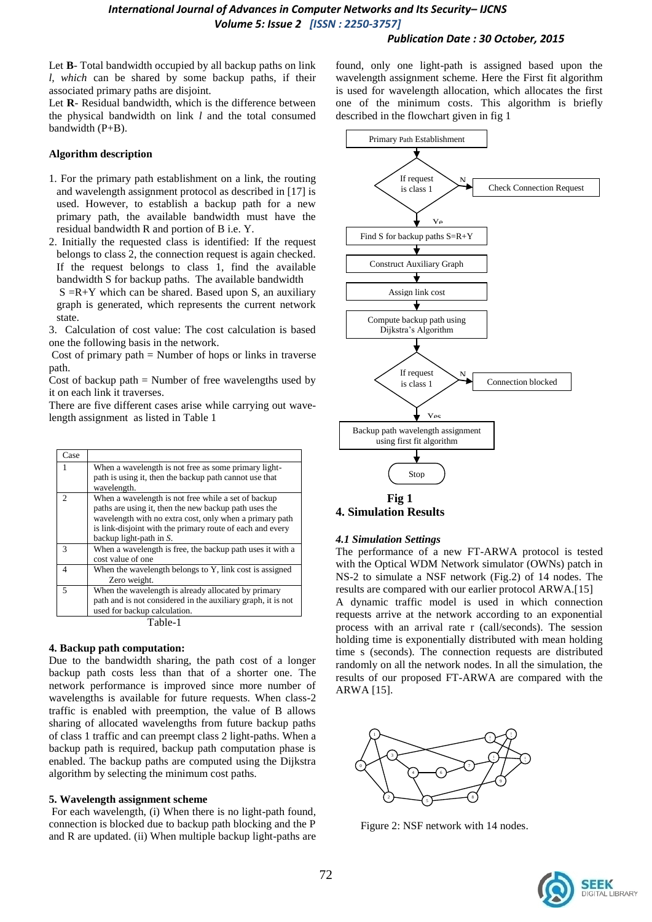### *Publication Date : 30 October, 2015*

Let **B**- Total bandwidth occupied by all backup paths on link *l, which* can be shared by some backup paths, if their associated primary paths are disjoint.

Let **R**- Residual bandwidth, which is the difference between the physical bandwidth on link *l* and the total consumed bandwidth (P+B).

#### **Algorithm description**

- 1. For the primary path establishment on a link, the routing and wavelength assignment protocol as described in [17] is used. However, to establish a backup path for a new primary path, the available bandwidth must have the residual bandwidth R and portion of B i.e. Y.
- 2. Initially the requested class is identified: If the request belongs to class 2, the connection request is again checked. If the request belongs to class 1, find the available bandwidth S for backup paths. The available bandwidth

 $S = R+Y$  which can be shared. Based upon S, an auxiliary graph is generated, which represents the current network state.

3. Calculation of cost value: The cost calculation is based one the following basis in the network.

Cost of primary path  $=$  Number of hops or links in traverse path.

Cost of backup path  $=$  Number of free wavelengths used by it on each link it traverses.

There are five different cases arise while carrying out wavelength assignment as listed in Table 1

| Case           |                                                                                                                                                                                                                                                                 |  |
|----------------|-----------------------------------------------------------------------------------------------------------------------------------------------------------------------------------------------------------------------------------------------------------------|--|
|                | When a wavelength is not free as some primary light-<br>path is using it, then the backup path cannot use that<br>wavelength.                                                                                                                                   |  |
| $\mathfrak{D}$ | When a wavelength is not free while a set of backup<br>paths are using it, then the new backup path uses the<br>wavelength with no extra cost, only when a primary path<br>is link-disjoint with the primary route of each and every<br>backup light-path in S. |  |
| 3              | When a wavelength is free, the backup path uses it with a<br>cost value of one                                                                                                                                                                                  |  |
| $\overline{4}$ | When the wavelength belongs to Y, link cost is assigned<br>Zero weight.                                                                                                                                                                                         |  |
| 5              | When the wavelength is already allocated by primary<br>path and is not considered in the auxiliary graph, it is not<br>used for backup calculation.                                                                                                             |  |
| Table-1        |                                                                                                                                                                                                                                                                 |  |

#### **4. Backup path computation:**

 Due to the bandwidth sharing, the path cost of a longer backup path costs less than that of a shorter one. The network performance is improved since more number of wavelengths is available for future requests. When class-2 traffic is enabled with preemption, the value of B allows sharing of allocated wavelengths from future backup paths of class 1 traffic and can preempt class 2 light-paths. When a backup path is required, backup path computation phase is enabled. The backup paths are computed using the Dijkstra algorithm by selecting the minimum cost paths.

#### **5. Wavelength assignment scheme**

For each wavelength, (i) When there is no light-path found, connection is blocked due to backup path blocking and the P and R are updated. (ii) When multiple backup light-paths are

found, only one light-path is assigned based upon the wavelength assignment scheme. Here the First fit algorithm is used for wavelength allocation, which allocates the first one of the minimum costs. This algorithm is briefly described in the flowchart given in fig 1



**4. Simulation Results**

#### *4.1 Simulation Settings*

The performance of a new FT-ARWA protocol is tested with the Optical WDM Network simulator (OWNs) patch in NS-2 to simulate a NSF network (Fig.2) of 14 nodes. The results are compared with our earlier protocol ARWA.[15] A dynamic traffic model is used in which connection requests arrive at the network according to an exponential process with an arrival rate r (call/seconds). The session holding time is exponentially distributed with mean holding time s (seconds). The connection requests are distributed randomly on all the network nodes. In all the simulation, the results of our proposed FT-ARWA are compared with the ARWA [15].



Figure 2: NSF network with 14 nodes.

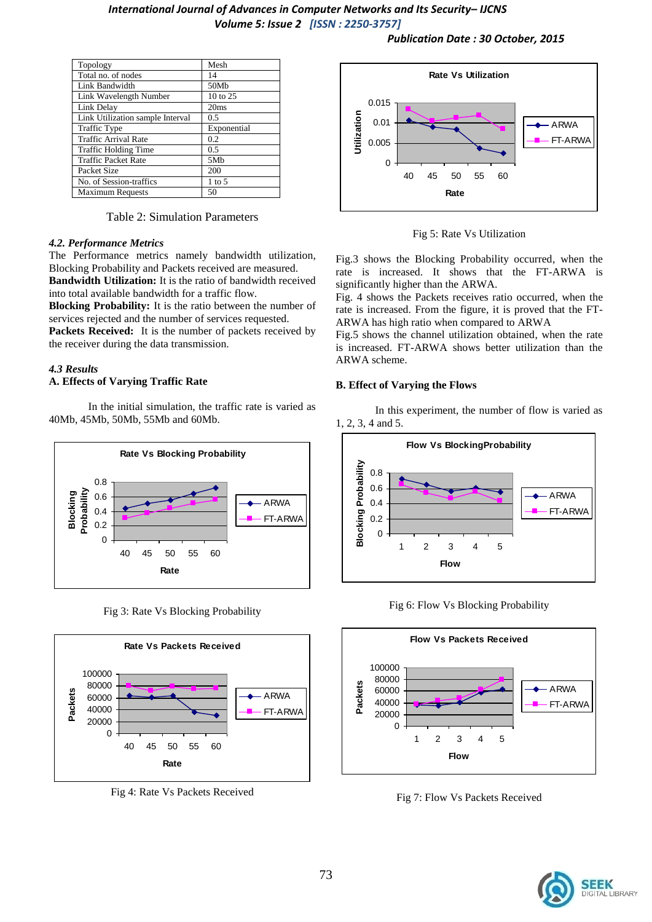*Publication Date : 30 October, 2015*

| Topology                         | Mesh            |
|----------------------------------|-----------------|
| Total no. of nodes               | 14              |
| Link Bandwidth                   | 50Mb            |
| Link Wavelength Number           | 10 to 25        |
| Link Delay                       | 20ms            |
| Link Utilization sample Interval | 0.5             |
| <b>Traffic Type</b>              | Exponential     |
| <b>Traffic Arrival Rate</b>      | 0.2             |
| <b>Traffic Holding Time</b>      | 0.5             |
| <b>Traffic Packet Rate</b>       | 5M <sub>b</sub> |
| Packet Size                      | 200             |
| No. of Session-traffics          | $1$ to 5        |
| <b>Maximum Requests</b>          | 50              |

Table 2: Simulation Parameters

#### *4.2. Performance Metrics*

The Performance metrics namely bandwidth utilization, Blocking Probability and Packets received are measured. **Bandwidth Utilization:** It is the ratio of bandwidth received

into total available bandwidth for a traffic flow. **Blocking Probability:** It is the ratio between the number of services rejected and the number of services requested.

**Packets Received:** It is the number of packets received by the receiver during the data transmission.

# *4.3 Results*

### **A. Effects of Varying Traffic Rate**

In the initial simulation, the traffic rate is varied as 40Mb, 45Mb, 50Mb, 55Mb and 60Mb.



Fig 3: Rate Vs Blocking Probability



Fig 4: Rate Vs Packets Received



Fig 5: Rate Vs Utilization

Fig.3 shows the Blocking Probability occurred, when the rate is increased. It shows that the FT-ARWA is significantly higher than the ARWA.

Fig. 4 shows the Packets receives ratio occurred, when the rate is increased. From the figure, it is proved that the FT-ARWA has high ratio when compared to ARWA

Fig.5 shows the channel utilization obtained, when the rate is increased. FT-ARWA shows better utilization than the ARWA scheme.

#### **B. Effect of Varying the Flows**

In this experiment, the number of flow is varied as 1, 2, 3, 4 and 5.



Fig 6: Flow Vs Blocking Probability



Fig 7: Flow Vs Packets Received